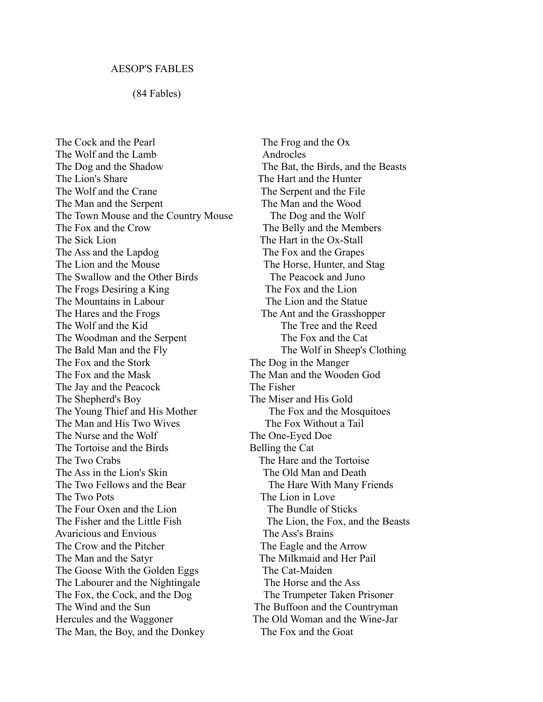## (84 Fables)

The Cock and the Pearl The Frog and the Ox The Wolf and the Lamb Androcles The Dog and the Shadow The Bat, the Birds, and the Beasts The Lion's Share The Hart and the Hunter The Wolf and the Crane The Serpent and the File The Man and the Serpent The Man and the Wood The Town Mouse and the Country Mouse The Dog and the Wolf The Fox and the Crow The Belly and the Members The Sick Lion The Hart in the Ox-Stall The Ass and the Lapdog The Fox and the Grapes The Lion and the Mouse The Horse, Hunter, and Stag The Swallow and the Other Birds The Peacock and Juno The Frogs Desiring a King The Fox and the Lion The Mountains in Labour The Lion and the Statue The Hares and the Frogs The Ant and the Grasshopper The Wolf and the Kid The Tree and the Reed The Woodman and the Serpent The Fox and the Cat The Bald Man and the Fly The Wolf in Sheep's Clothing The Fox and the Stork The Dog in the Manger The Fox and the Mask The Man and the Wooden God The Jay and the Peacock The Fisher The Shepherd's Boy The Miser and His Gold The Young Thief and His Mother The Fox and the Mosquitoes The Man and His Two Wives The Fox Without a Tail The Nurse and the Wolf The One-Eyed Doe The Tortoise and the Birds Belling the Cat The Two Crabs The Hare and the Tortoise The Ass in the Lion's Skin The Old Man and Death The Two Fellows and the Bear The Hare With Many Friends The Two Pots The Lion in Love The Four Oxen and the Lion The Bundle of Sticks The Fisher and the Little Fish The Lion, the Fox, and the Beasts Avaricious and Envious The Ass's Brains The Crow and the Pitcher The Eagle and the Arrow The Man and the Satyr The Milkmaid and Her Pail The Goose With the Golden Eggs The Cat-Maiden The Labourer and the Nightingale The Horse and the Ass The Fox, the Cock, and the Dog The Trumpeter Taken Prisoner The Wind and the Sun The Buffoon and the Countryman Hercules and the Waggoner The Old Woman and the Wine-Jar The Man, the Boy, and the Donkey The Fox and the Goat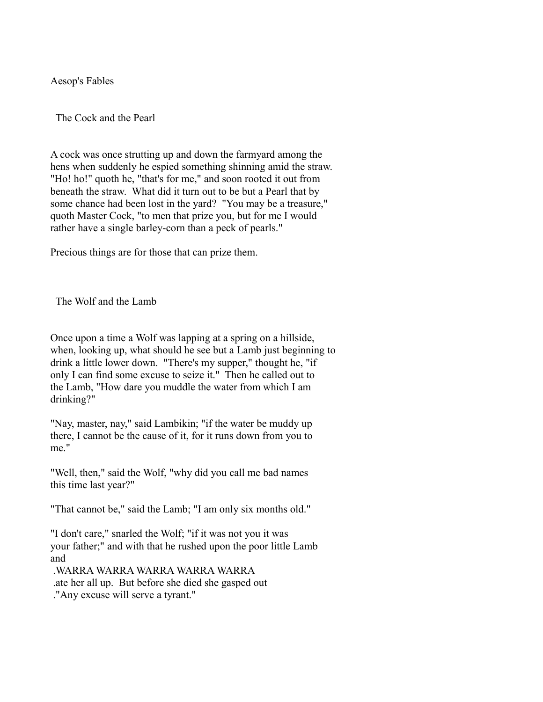Aesop's Fables

The Cock and the Pearl

A cock was once strutting up and down the farmyard among the hens when suddenly he espied something shinning amid the straw. "Ho! ho!" quoth he, "that's for me," and soon rooted it out from beneath the straw. What did it turn out to be but a Pearl that by some chance had been lost in the yard? "You may be a treasure," quoth Master Cock, "to men that prize you, but for me I would rather have a single barley-corn than a peck of pearls."

Precious things are for those that can prize them.

The Wolf and the Lamb

Once upon a time a Wolf was lapping at a spring on a hillside, when, looking up, what should he see but a Lamb just beginning to drink a little lower down. "There's my supper," thought he, "if only I can find some excuse to seize it." Then he called out to the Lamb, "How dare you muddle the water from which I am drinking?"

"Nay, master, nay," said Lambikin; "if the water be muddy up there, I cannot be the cause of it, for it runs down from you to me"

"Well, then," said the Wolf, "why did you call me bad names this time last year?"

"That cannot be," said the Lamb; "I am only six months old."

"I don't care," snarled the Wolf; "if it was not you it was your father;" and with that he rushed upon the poor little Lamb and

 .WARRA WARRA WARRA WARRA WARRA .ate her all up. But before she died she gasped out ."Any excuse will serve a tyrant."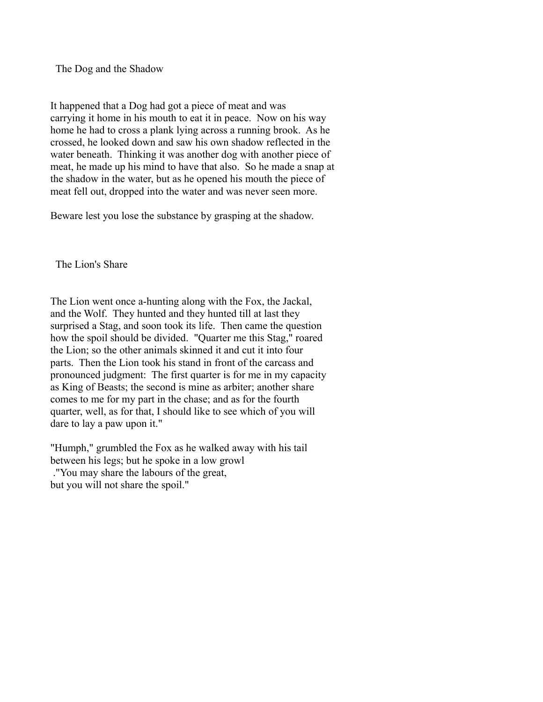The Dog and the Shadow

It happened that a Dog had got a piece of meat and was carrying it home in his mouth to eat it in peace. Now on his way home he had to cross a plank lying across a running brook. As he crossed, he looked down and saw his own shadow reflected in the water beneath. Thinking it was another dog with another piece of meat, he made up his mind to have that also. So he made a snap at the shadow in the water, but as he opened his mouth the piece of meat fell out, dropped into the water and was never seen more.

Beware lest you lose the substance by grasping at the shadow.

The Lion's Share

The Lion went once a-hunting along with the Fox, the Jackal, and the Wolf. They hunted and they hunted till at last they surprised a Stag, and soon took its life. Then came the question how the spoil should be divided. "Quarter me this Stag," roared the Lion; so the other animals skinned it and cut it into four parts. Then the Lion took his stand in front of the carcass and pronounced judgment: The first quarter is for me in my capacity as King of Beasts; the second is mine as arbiter; another share comes to me for my part in the chase; and as for the fourth quarter, well, as for that, I should like to see which of you will dare to lay a paw upon it."

"Humph," grumbled the Fox as he walked away with his tail between his legs; but he spoke in a low growl ."You may share the labours of the great, but you will not share the spoil."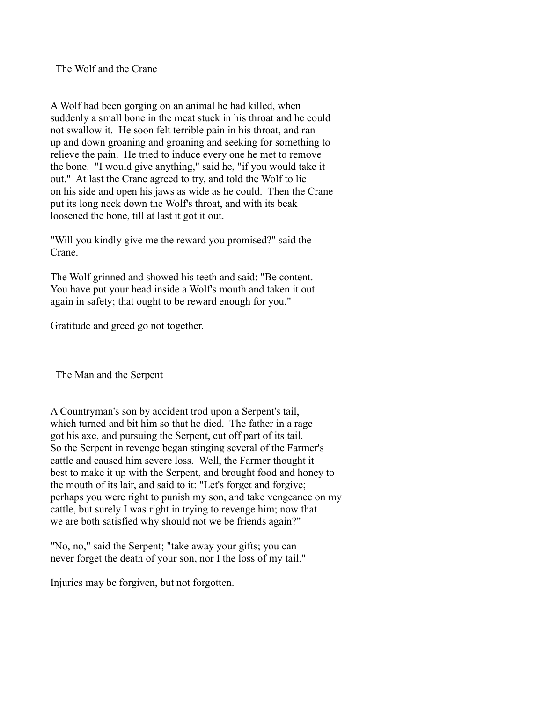The Wolf and the Crane

A Wolf had been gorging on an animal he had killed, when suddenly a small bone in the meat stuck in his throat and he could not swallow it. He soon felt terrible pain in his throat, and ran up and down groaning and groaning and seeking for something to relieve the pain. He tried to induce every one he met to remove the bone. "I would give anything," said he, "if you would take it out." At last the Crane agreed to try, and told the Wolf to lie on his side and open his jaws as wide as he could. Then the Crane put its long neck down the Wolf's throat, and with its beak loosened the bone, till at last it got it out.

"Will you kindly give me the reward you promised?" said the Crane.

The Wolf grinned and showed his teeth and said: "Be content. You have put your head inside a Wolf's mouth and taken it out again in safety; that ought to be reward enough for you."

Gratitude and greed go not together.

The Man and the Serpent

A Countryman's son by accident trod upon a Serpent's tail, which turned and bit him so that he died. The father in a rage got his axe, and pursuing the Serpent, cut off part of its tail. So the Serpent in revenge began stinging several of the Farmer's cattle and caused him severe loss. Well, the Farmer thought it best to make it up with the Serpent, and brought food and honey to the mouth of its lair, and said to it: "Let's forget and forgive; perhaps you were right to punish my son, and take vengeance on my cattle, but surely I was right in trying to revenge him; now that we are both satisfied why should not we be friends again?"

"No, no," said the Serpent; "take away your gifts; you can never forget the death of your son, nor I the loss of my tail."

Injuries may be forgiven, but not forgotten.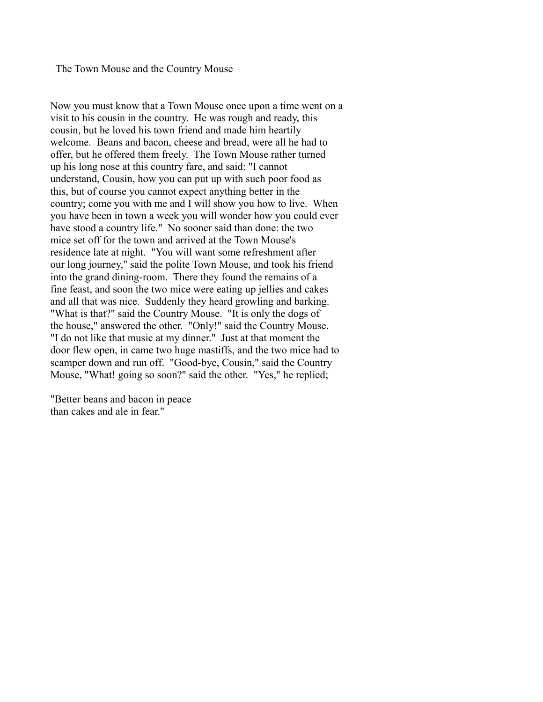## The Town Mouse and the Country Mouse

Now you must know that a Town Mouse once upon a time went on a visit to his cousin in the country. He was rough and ready, this cousin, but he loved his town friend and made him heartily welcome. Beans and bacon, cheese and bread, were all he had to offer, but he offered them freely. The Town Mouse rather turned up his long nose at this country fare, and said: "I cannot understand, Cousin, how you can put up with such poor food as this, but of course you cannot expect anything better in the country; come you with me and I will show you how to live. When you have been in town a week you will wonder how you could ever have stood a country life." No sooner said than done: the two mice set off for the town and arrived at the Town Mouse's residence late at night. "You will want some refreshment after our long journey," said the polite Town Mouse, and took his friend into the grand dining-room. There they found the remains of a fine feast, and soon the two mice were eating up jellies and cakes and all that was nice. Suddenly they heard growling and barking. "What is that?" said the Country Mouse. "It is only the dogs of the house," answered the other. "Only!" said the Country Mouse. "I do not like that music at my dinner." Just at that moment the door flew open, in came two huge mastiffs, and the two mice had to scamper down and run off. "Good-bye, Cousin," said the Country Mouse, "What! going so soon?" said the other. "Yes," he replied;

"Better beans and bacon in peace than cakes and ale in fear."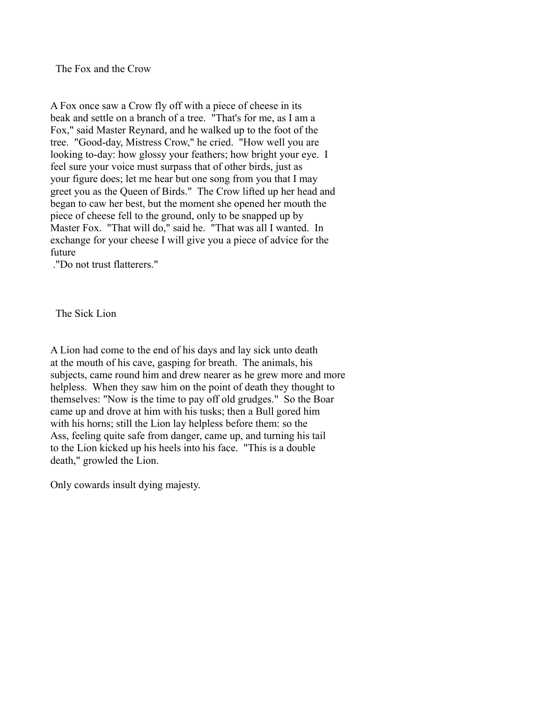The Fox and the Crow

A Fox once saw a Crow fly off with a piece of cheese in its beak and settle on a branch of a tree. "That's for me, as I am a Fox," said Master Reynard, and he walked up to the foot of the tree. "Good-day, Mistress Crow," he cried. "How well you are looking to-day: how glossy your feathers; how bright your eye. I feel sure your voice must surpass that of other birds, just as your figure does; let me hear but one song from you that I may greet you as the Queen of Birds." The Crow lifted up her head and began to caw her best, but the moment she opened her mouth the piece of cheese fell to the ground, only to be snapped up by Master Fox. "That will do," said he. "That was all I wanted. In exchange for your cheese I will give you a piece of advice for the future

."Do not trust flatterers."

The Sick Lion

A Lion had come to the end of his days and lay sick unto death at the mouth of his cave, gasping for breath. The animals, his subjects, came round him and drew nearer as he grew more and more helpless. When they saw him on the point of death they thought to themselves: "Now is the time to pay off old grudges." So the Boar came up and drove at him with his tusks; then a Bull gored him with his horns; still the Lion lay helpless before them: so the Ass, feeling quite safe from danger, came up, and turning his tail to the Lion kicked up his heels into his face. "This is a double death," growled the Lion.

Only cowards insult dying majesty.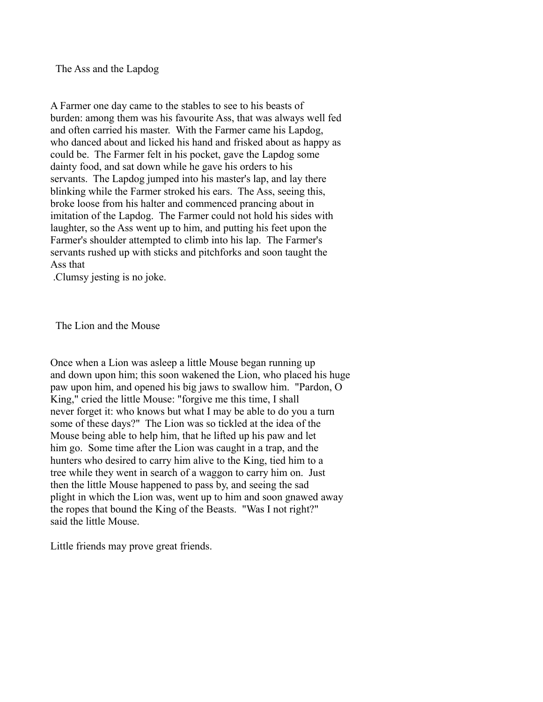The Ass and the Lapdog

A Farmer one day came to the stables to see to his beasts of burden: among them was his favourite Ass, that was always well fed and often carried his master. With the Farmer came his Lapdog, who danced about and licked his hand and frisked about as happy as could be. The Farmer felt in his pocket, gave the Lapdog some dainty food, and sat down while he gave his orders to his servants. The Lapdog jumped into his master's lap, and lay there blinking while the Farmer stroked his ears. The Ass, seeing this, broke loose from his halter and commenced prancing about in imitation of the Lapdog. The Farmer could not hold his sides with laughter, so the Ass went up to him, and putting his feet upon the Farmer's shoulder attempted to climb into his lap. The Farmer's servants rushed up with sticks and pitchforks and soon taught the Ass that

.Clumsy jesting is no joke.

The Lion and the Mouse

Once when a Lion was asleep a little Mouse began running up and down upon him; this soon wakened the Lion, who placed his huge paw upon him, and opened his big jaws to swallow him. "Pardon, O King," cried the little Mouse: "forgive me this time, I shall never forget it: who knows but what I may be able to do you a turn some of these days?" The Lion was so tickled at the idea of the Mouse being able to help him, that he lifted up his paw and let him go. Some time after the Lion was caught in a trap, and the hunters who desired to carry him alive to the King, tied him to a tree while they went in search of a waggon to carry him on. Just then the little Mouse happened to pass by, and seeing the sad plight in which the Lion was, went up to him and soon gnawed away the ropes that bound the King of the Beasts. "Was I not right?" said the little Mouse.

Little friends may prove great friends.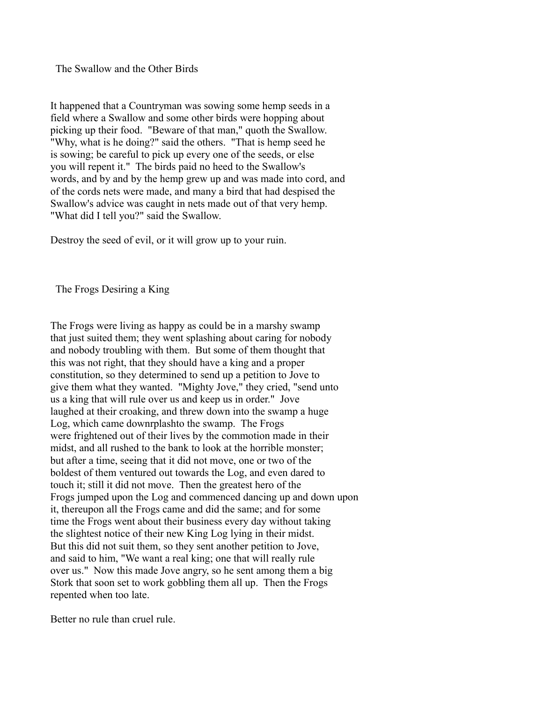The Swallow and the Other Birds

It happened that a Countryman was sowing some hemp seeds in a field where a Swallow and some other birds were hopping about picking up their food. "Beware of that man," quoth the Swallow. "Why, what is he doing?" said the others. "That is hemp seed he is sowing; be careful to pick up every one of the seeds, or else you will repent it." The birds paid no heed to the Swallow's words, and by and by the hemp grew up and was made into cord, and of the cords nets were made, and many a bird that had despised the Swallow's advice was caught in nets made out of that very hemp. "What did I tell you?" said the Swallow.

Destroy the seed of evil, or it will grow up to your ruin.

The Frogs Desiring a King

The Frogs were living as happy as could be in a marshy swamp that just suited them; they went splashing about caring for nobody and nobody troubling with them. But some of them thought that this was not right, that they should have a king and a proper constitution, so they determined to send up a petition to Jove to give them what they wanted. "Mighty Jove," they cried, "send unto us a king that will rule over us and keep us in order." Jove laughed at their croaking, and threw down into the swamp a huge Log, which came downrplashto the swamp. The Frogs were frightened out of their lives by the commotion made in their midst, and all rushed to the bank to look at the horrible monster; but after a time, seeing that it did not move, one or two of the boldest of them ventured out towards the Log, and even dared to touch it; still it did not move. Then the greatest hero of the Frogs jumped upon the Log and commenced dancing up and down upon it, thereupon all the Frogs came and did the same; and for some time the Frogs went about their business every day without taking the slightest notice of their new King Log lying in their midst. But this did not suit them, so they sent another petition to Jove, and said to him, "We want a real king; one that will really rule over us." Now this made Jove angry, so he sent among them a big Stork that soon set to work gobbling them all up. Then the Frogs repented when too late.

Better no rule than cruel rule.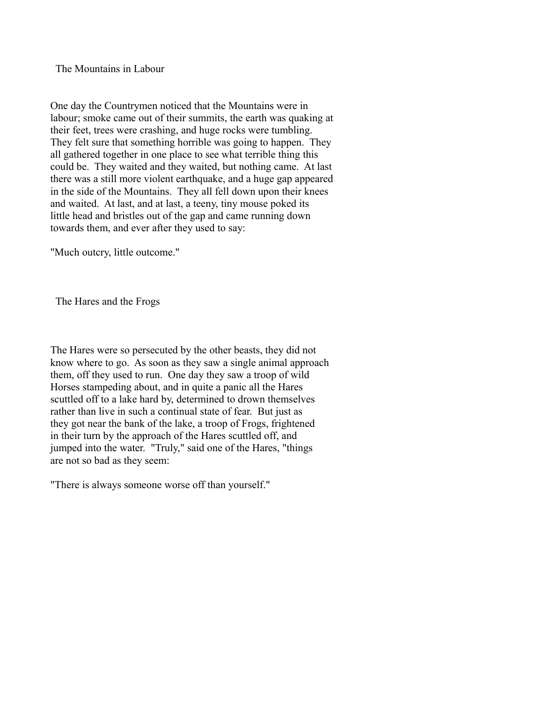The Mountains in Labour

One day the Countrymen noticed that the Mountains were in labour; smoke came out of their summits, the earth was quaking at their feet, trees were crashing, and huge rocks were tumbling. They felt sure that something horrible was going to happen. They all gathered together in one place to see what terrible thing this could be. They waited and they waited, but nothing came. At last there was a still more violent earthquake, and a huge gap appeared in the side of the Mountains. They all fell down upon their knees and waited. At last, and at last, a teeny, tiny mouse poked its little head and bristles out of the gap and came running down towards them, and ever after they used to say:

"Much outcry, little outcome."

The Hares and the Frogs

The Hares were so persecuted by the other beasts, they did not know where to go. As soon as they saw a single animal approach them, off they used to run. One day they saw a troop of wild Horses stampeding about, and in quite a panic all the Hares scuttled off to a lake hard by, determined to drown themselves rather than live in such a continual state of fear. But just as they got near the bank of the lake, a troop of Frogs, frightened in their turn by the approach of the Hares scuttled off, and jumped into the water. "Truly," said one of the Hares, "things are not so bad as they seem:

"There is always someone worse off than yourself."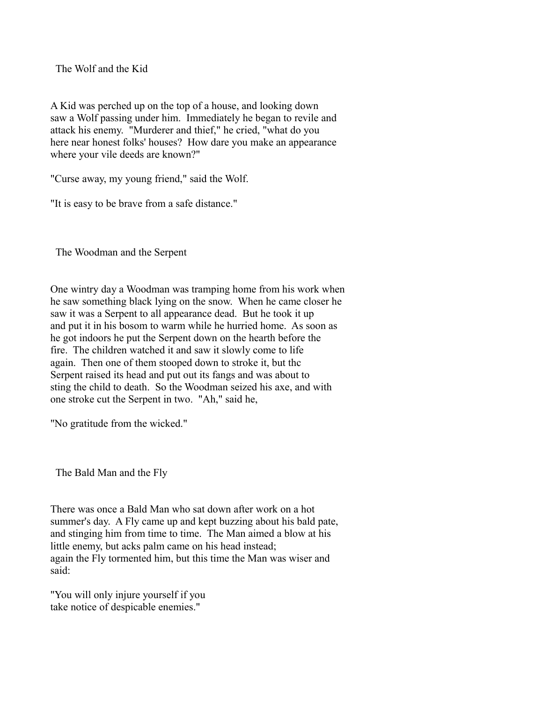The Wolf and the Kid

A Kid was perched up on the top of a house, and looking down saw a Wolf passing under him. Immediately he began to revile and attack his enemy. "Murderer and thief," he cried, "what do you here near honest folks' houses? How dare you make an appearance where your vile deeds are known?"

"Curse away, my young friend," said the Wolf.

"It is easy to be brave from a safe distance."

The Woodman and the Serpent

One wintry day a Woodman was tramping home from his work when he saw something black lying on the snow. When he came closer he saw it was a Serpent to all appearance dead. But he took it up and put it in his bosom to warm while he hurried home. As soon as he got indoors he put the Serpent down on the hearth before the fire. The children watched it and saw it slowly come to life again. Then one of them stooped down to stroke it, but thc Serpent raised its head and put out its fangs and was about to sting the child to death. So the Woodman seized his axe, and with one stroke cut the Serpent in two. "Ah," said he,

"No gratitude from the wicked."

The Bald Man and the Fly

There was once a Bald Man who sat down after work on a hot summer's day. A Fly came up and kept buzzing about his bald pate, and stinging him from time to time. The Man aimed a blow at his little enemy, but acks palm came on his head instead; again the Fly tormented him, but this time the Man was wiser and said:

"You will only injure yourself if you take notice of despicable enemies."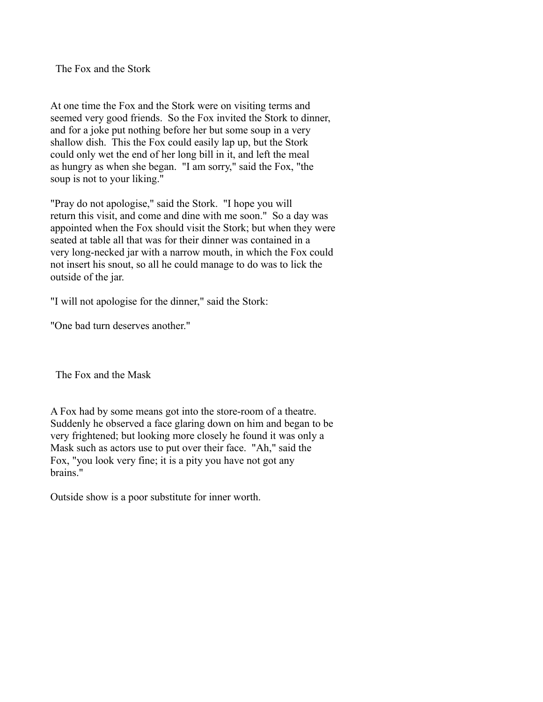The Fox and the Stork

At one time the Fox and the Stork were on visiting terms and seemed very good friends. So the Fox invited the Stork to dinner, and for a joke put nothing before her but some soup in a very shallow dish. This the Fox could easily lap up, but the Stork could only wet the end of her long bill in it, and left the meal as hungry as when she began. "I am sorry," said the Fox, "the soup is not to your liking."

"Pray do not apologise," said the Stork. "I hope you will return this visit, and come and dine with me soon." So a day was appointed when the Fox should visit the Stork; but when they were seated at table all that was for their dinner was contained in a very long-necked jar with a narrow mouth, in which the Fox could not insert his snout, so all he could manage to do was to lick the outside of the jar.

"I will not apologise for the dinner," said the Stork:

"One bad turn deserves another."

The Fox and the Mask

A Fox had by some means got into the store-room of a theatre. Suddenly he observed a face glaring down on him and began to be very frightened; but looking more closely he found it was only a Mask such as actors use to put over their face. "Ah," said the Fox, "you look very fine; it is a pity you have not got any brains."

Outside show is a poor substitute for inner worth.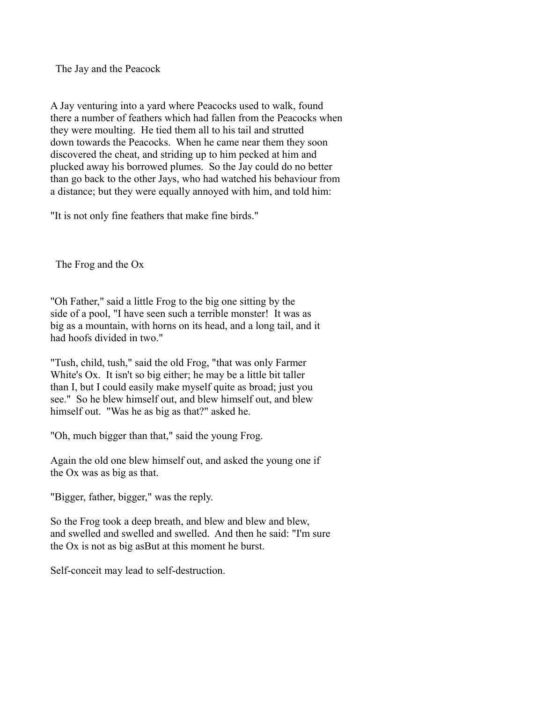The Jay and the Peacock

A Jay venturing into a yard where Peacocks used to walk, found there a number of feathers which had fallen from the Peacocks when they were moulting. He tied them all to his tail and strutted down towards the Peacocks. When he came near them they soon discovered the cheat, and striding up to him pecked at him and plucked away his borrowed plumes. So the Jay could do no better than go back to the other Jays, who had watched his behaviour from a distance; but they were equally annoyed with him, and told him:

"It is not only fine feathers that make fine birds."

The Frog and the Ox

"Oh Father," said a little Frog to the big one sitting by the side of a pool, "I have seen such a terrible monster! It was as big as a mountain, with horns on its head, and a long tail, and it had hoofs divided in two."

"Tush, child, tush," said the old Frog, "that was only Farmer White's Ox. It isn't so big either; he may be a little bit taller than I, but I could easily make myself quite as broad; just you see." So he blew himself out, and blew himself out, and blew himself out. "Was he as big as that?" asked he.

"Oh, much bigger than that," said the young Frog.

Again the old one blew himself out, and asked the young one if the Ox was as big as that.

"Bigger, father, bigger," was the reply.

So the Frog took a deep breath, and blew and blew and blew, and swelled and swelled and swelled. And then he said: "I'm sure the Ox is not as big asBut at this moment he burst.

Self-conceit may lead to self-destruction.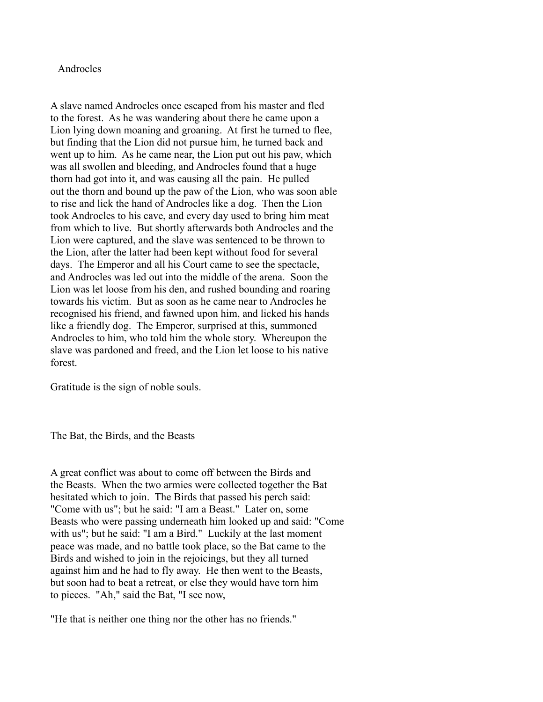## Androcles

A slave named Androcles once escaped from his master and fled to the forest. As he was wandering about there he came upon a Lion lying down moaning and groaning. At first he turned to flee, but finding that the Lion did not pursue him, he turned back and went up to him. As he came near, the Lion put out his paw, which was all swollen and bleeding, and Androcles found that a huge thorn had got into it, and was causing all the pain. He pulled out the thorn and bound up the paw of the Lion, who was soon able to rise and lick the hand of Androcles like a dog. Then the Lion took Androcles to his cave, and every day used to bring him meat from which to live. But shortly afterwards both Androcles and the Lion were captured, and the slave was sentenced to be thrown to the Lion, after the latter had been kept without food for several days. The Emperor and all his Court came to see the spectacle, and Androcles was led out into the middle of the arena. Soon the Lion was let loose from his den, and rushed bounding and roaring towards his victim. But as soon as he came near to Androcles he recognised his friend, and fawned upon him, and licked his hands like a friendly dog. The Emperor, surprised at this, summoned Androcles to him, who told him the whole story. Whereupon the slave was pardoned and freed, and the Lion let loose to his native forest.

Gratitude is the sign of noble souls.

The Bat, the Birds, and the Beasts

A great conflict was about to come off between the Birds and the Beasts. When the two armies were collected together the Bat hesitated which to join. The Birds that passed his perch said: "Come with us"; but he said: "I am a Beast." Later on, some Beasts who were passing underneath him looked up and said: "Come with us"; but he said: "I am a Bird." Luckily at the last moment peace was made, and no battle took place, so the Bat came to the Birds and wished to join in the rejoicings, but they all turned against him and he had to fly away. He then went to the Beasts, but soon had to beat a retreat, or else they would have torn him to pieces. "Ah," said the Bat, "I see now,

"He that is neither one thing nor the other has no friends."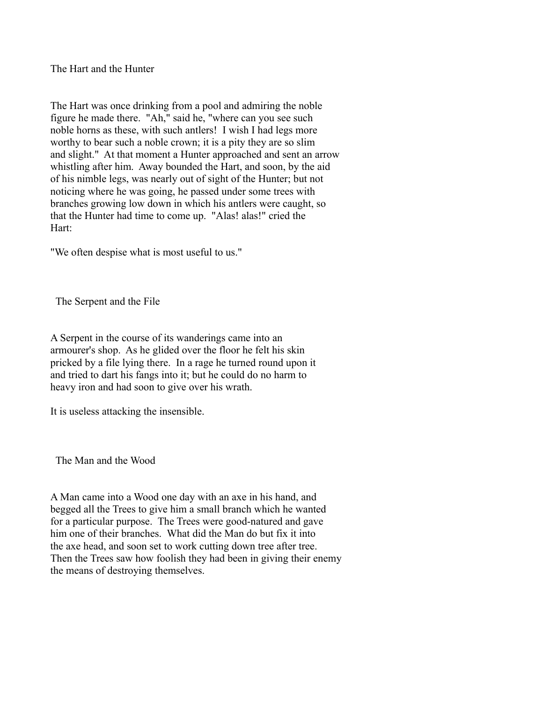The Hart and the Hunter

The Hart was once drinking from a pool and admiring the noble figure he made there. "Ah," said he, "where can you see such noble horns as these, with such antlers! I wish I had legs more worthy to bear such a noble crown; it is a pity they are so slim and slight." At that moment a Hunter approached and sent an arrow whistling after him. Away bounded the Hart, and soon, by the aid of his nimble legs, was nearly out of sight of the Hunter; but not noticing where he was going, he passed under some trees with branches growing low down in which his antlers were caught, so that the Hunter had time to come up. "Alas! alas!" cried the Hart:

"We often despise what is most useful to us."

The Serpent and the File

A Serpent in the course of its wanderings came into an armourer's shop. As he glided over the floor he felt his skin pricked by a file lying there. In a rage he turned round upon it and tried to dart his fangs into it; but he could do no harm to heavy iron and had soon to give over his wrath.

It is useless attacking the insensible.

The Man and the Wood

A Man came into a Wood one day with an axe in his hand, and begged all the Trees to give him a small branch which he wanted for a particular purpose. The Trees were good-natured and gave him one of their branches. What did the Man do but fix it into the axe head, and soon set to work cutting down tree after tree. Then the Trees saw how foolish they had been in giving their enemy the means of destroying themselves.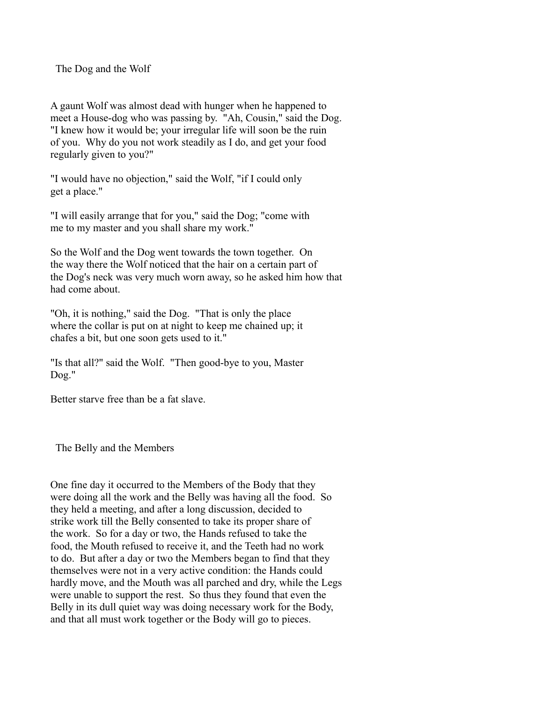The Dog and the Wolf

A gaunt Wolf was almost dead with hunger when he happened to meet a House-dog who was passing by. "Ah, Cousin," said the Dog. "I knew how it would be; your irregular life will soon be the ruin of you. Why do you not work steadily as I do, and get your food regularly given to you?"

"I would have no objection," said the Wolf, "if I could only get a place."

"I will easily arrange that for you," said the Dog; "come with me to my master and you shall share my work."

So the Wolf and the Dog went towards the town together. On the way there the Wolf noticed that the hair on a certain part of the Dog's neck was very much worn away, so he asked him how that had come about.

"Oh, it is nothing," said the Dog. "That is only the place where the collar is put on at night to keep me chained up; it chafes a bit, but one soon gets used to it."

"Is that all?" said the Wolf. "Then good-bye to you, Master Dog."

Better starve free than be a fat slave.

The Belly and the Members

One fine day it occurred to the Members of the Body that they were doing all the work and the Belly was having all the food. So they held a meeting, and after a long discussion, decided to strike work till the Belly consented to take its proper share of the work. So for a day or two, the Hands refused to take the food, the Mouth refused to receive it, and the Teeth had no work to do. But after a day or two the Members began to find that they themselves were not in a very active condition: the Hands could hardly move, and the Mouth was all parched and dry, while the Legs were unable to support the rest. So thus they found that even the Belly in its dull quiet way was doing necessary work for the Body, and that all must work together or the Body will go to pieces.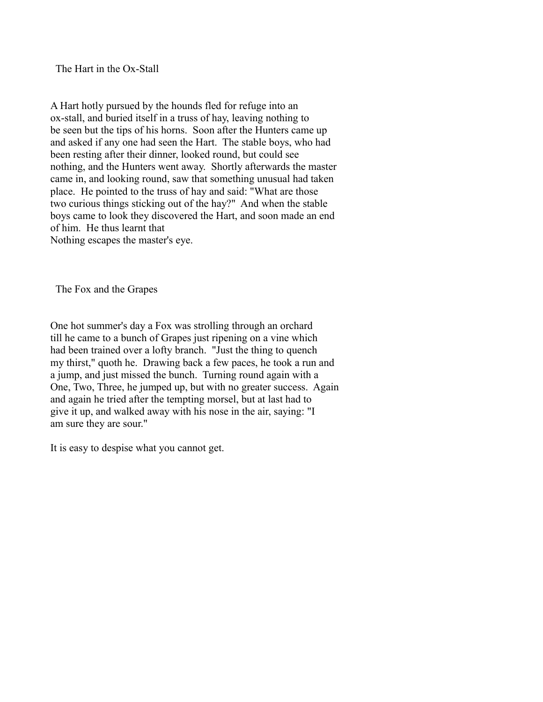The Hart in the Ox-Stall

A Hart hotly pursued by the hounds fled for refuge into an ox-stall, and buried itself in a truss of hay, leaving nothing to be seen but the tips of his horns. Soon after the Hunters came up and asked if any one had seen the Hart. The stable boys, who had been resting after their dinner, looked round, but could see nothing, and the Hunters went away. Shortly afterwards the master came in, and looking round, saw that something unusual had taken place. He pointed to the truss of hay and said: "What are those two curious things sticking out of the hay?" And when the stable boys came to look they discovered the Hart, and soon made an end of him. He thus learnt that Nothing escapes the master's eye.

The Fox and the Grapes

One hot summer's day a Fox was strolling through an orchard till he came to a bunch of Grapes just ripening on a vine which had been trained over a lofty branch. "Just the thing to quench my thirst," quoth he. Drawing back a few paces, he took a run and a jump, and just missed the bunch. Turning round again with a One, Two, Three, he jumped up, but with no greater success. Again and again he tried after the tempting morsel, but at last had to give it up, and walked away with his nose in the air, saying: "I am sure they are sour."

It is easy to despise what you cannot get.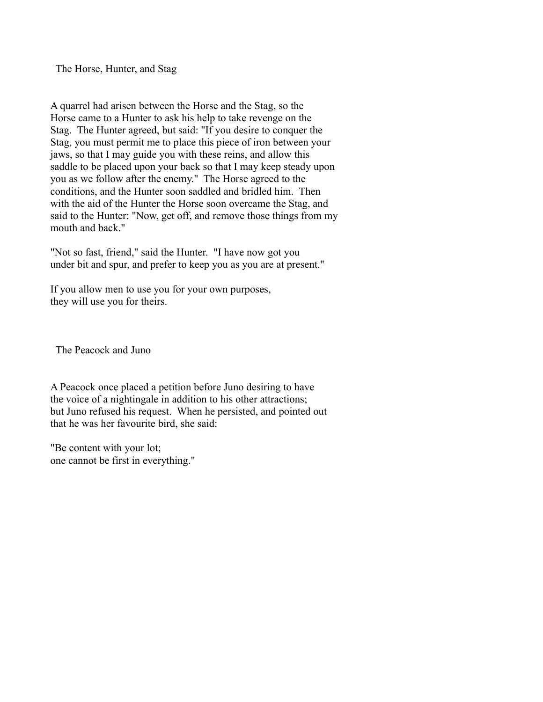The Horse, Hunter, and Stag

A quarrel had arisen between the Horse and the Stag, so the Horse came to a Hunter to ask his help to take revenge on the Stag. The Hunter agreed, but said: "If you desire to conquer the Stag, you must permit me to place this piece of iron between your jaws, so that I may guide you with these reins, and allow this saddle to be placed upon your back so that I may keep steady upon you as we follow after the enemy." The Horse agreed to the conditions, and the Hunter soon saddled and bridled him. Then with the aid of the Hunter the Horse soon overcame the Stag, and said to the Hunter: "Now, get off, and remove those things from my mouth and back."

"Not so fast, friend," said the Hunter. "I have now got you under bit and spur, and prefer to keep you as you are at present."

If you allow men to use you for your own purposes, they will use you for theirs.

The Peacock and Juno

A Peacock once placed a petition before Juno desiring to have the voice of a nightingale in addition to his other attractions; but Juno refused his request. When he persisted, and pointed out that he was her favourite bird, she said:

"Be content with your lot; one cannot be first in everything."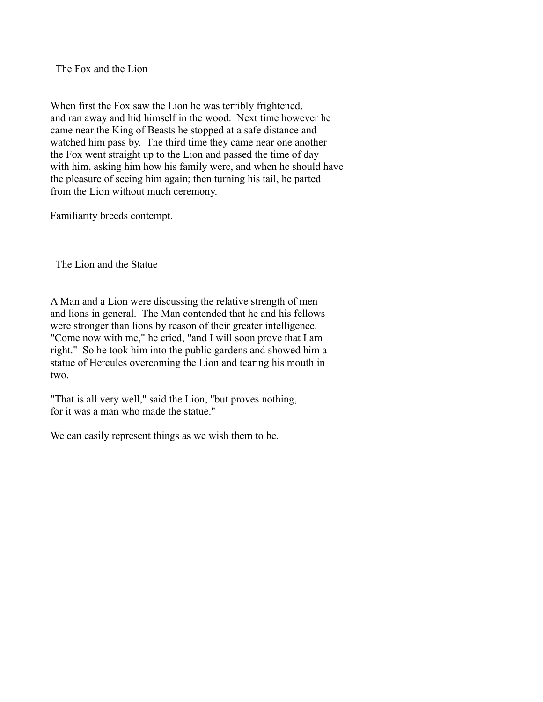The Fox and the Lion

When first the Fox saw the Lion he was terribly frightened, and ran away and hid himself in the wood. Next time however he came near the King of Beasts he stopped at a safe distance and watched him pass by. The third time they came near one another the Fox went straight up to the Lion and passed the time of day with him, asking him how his family were, and when he should have the pleasure of seeing him again; then turning his tail, he parted from the Lion without much ceremony.

Familiarity breeds contempt.

The Lion and the Statue

A Man and a Lion were discussing the relative strength of men and lions in general. The Man contended that he and his fellows were stronger than lions by reason of their greater intelligence. "Come now with me," he cried, "and I will soon prove that I am right." So he took him into the public gardens and showed him a statue of Hercules overcoming the Lion and tearing his mouth in two.

"That is all very well," said the Lion, "but proves nothing, for it was a man who made the statue."

We can easily represent things as we wish them to be.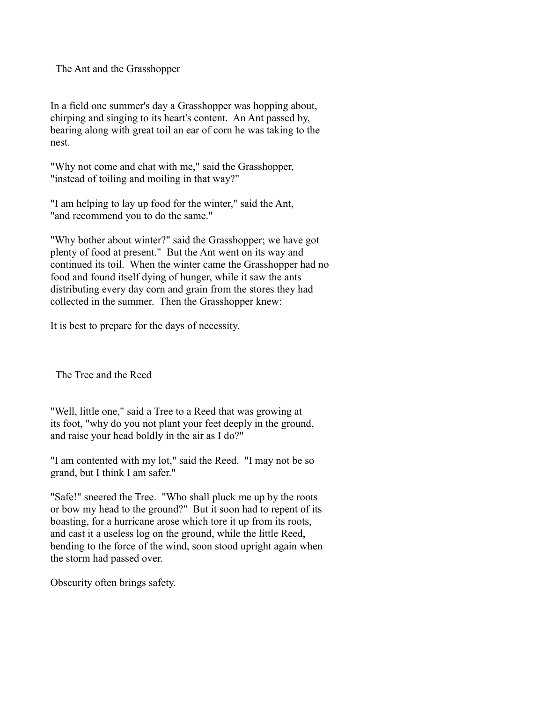The Ant and the Grasshopper

In a field one summer's day a Grasshopper was hopping about, chirping and singing to its heart's content. An Ant passed by, bearing along with great toil an ear of corn he was taking to the nest.

"Why not come and chat with me," said the Grasshopper, "instead of toiling and moiling in that way?"

"I am helping to lay up food for the winter," said the Ant, "and recommend you to do the same."

"Why bother about winter?" said the Grasshopper; we have got plenty of food at present." But the Ant went on its way and continued its toil. When the winter came the Grasshopper had no food and found itself dying of hunger, while it saw the ants distributing every day corn and grain from the stores they had collected in the summer. Then the Grasshopper knew:

It is best to prepare for the days of necessity.

The Tree and the Reed

"Well, little one," said a Tree to a Reed that was growing at its foot, "why do you not plant your feet deeply in the ground, and raise your head boldly in the air as I do?"

"I am contented with my lot," said the Reed. "I may not be so grand, but I think I am safer."

"Safe!" sneered the Tree. "Who shall pluck me up by the roots or bow my head to the ground?" But it soon had to repent of its boasting, for a hurricane arose which tore it up from its roots, and cast it a useless log on the ground, while the little Reed, bending to the force of the wind, soon stood upright again when the storm had passed over.

Obscurity often brings safety.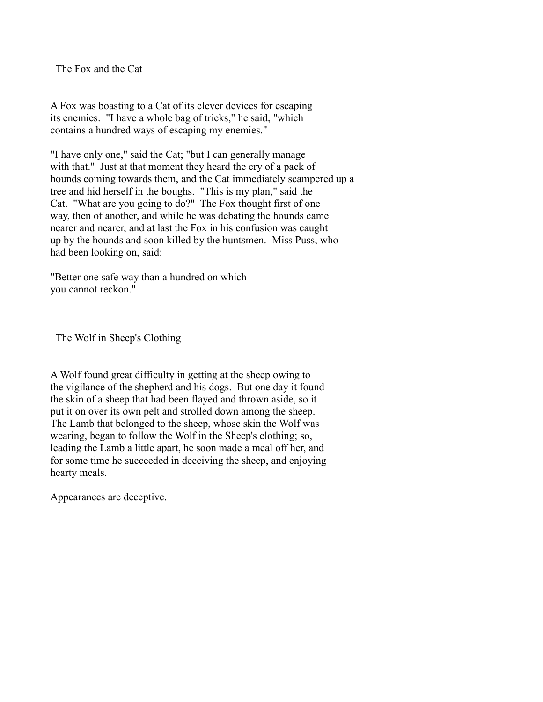The Fox and the Cat

A Fox was boasting to a Cat of its clever devices for escaping its enemies. "I have a whole bag of tricks," he said, "which contains a hundred ways of escaping my enemies."

"I have only one," said the Cat; "but I can generally manage with that." Just at that moment they heard the cry of a pack of hounds coming towards them, and the Cat immediately scampered up a tree and hid herself in the boughs. "This is my plan," said the Cat. "What are you going to do?" The Fox thought first of one way, then of another, and while he was debating the hounds came nearer and nearer, and at last the Fox in his confusion was caught up by the hounds and soon killed by the huntsmen. Miss Puss, who had been looking on, said:

"Better one safe way than a hundred on which you cannot reckon."

The Wolf in Sheep's Clothing

A Wolf found great difficulty in getting at the sheep owing to the vigilance of the shepherd and his dogs. But one day it found the skin of a sheep that had been flayed and thrown aside, so it put it on over its own pelt and strolled down among the sheep. The Lamb that belonged to the sheep, whose skin the Wolf was wearing, began to follow the Wolf in the Sheep's clothing; so, leading the Lamb a little apart, he soon made a meal off her, and for some time he succeeded in deceiving the sheep, and enjoying hearty meals.

Appearances are deceptive.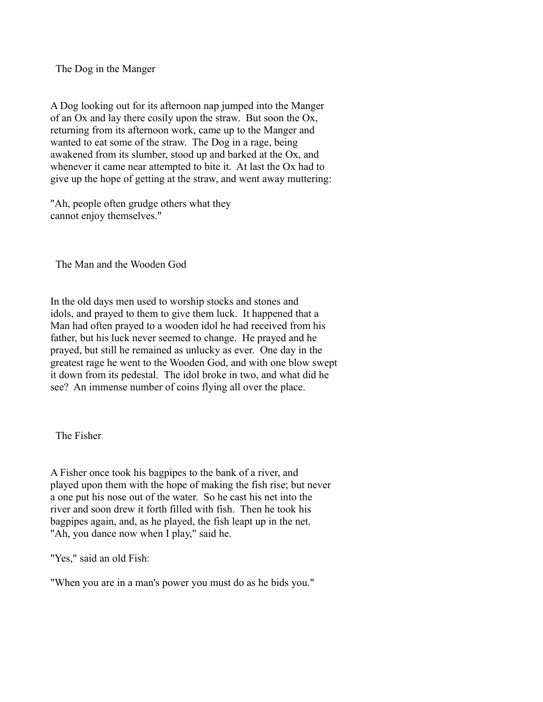The Dog in the Manger

A Dog looking out for its afternoon nap jumped into the Manger of an Ox and lay there cosily upon the straw. But soon the Ox, returning from its afternoon work, came up to the Manger and wanted to eat some of the straw. The Dog in a rage, being awakened from its slumber, stood up and barked at the Ox, and whenever it came near attempted to bite it. At last the Ox had to give up the hope of getting at the straw, and went away muttering:

"Ah, people often grudge others what they cannot enjoy themselves."

The Man and the Wooden God

In the old days men used to worship stocks and stones and idols, and prayed to them to give them luck. It happened that a Man had often prayed to a wooden idol he had received from his father, but his luck never seemed to change. He prayed and he prayed, but still he remained as unlucky as ever. One day in the greatest rage he went to the Wooden God, and with one blow swept it down from its pedestal. The idol broke in two, and what did he see? An immense number of coins flying all over the place.

The Fisher

A Fisher once took his bagpipes to the bank of a river, and played upon them with the hope of making the fish rise; but never a one put his nose out of the water. So he cast his net into the river and soon drew it forth filled with fish. Then he took his bagpipes again, and, as he played, the fish leapt up in the net. "Ah, you dance now when I play," said he.

"Yes," said an old Fish:

"When you are in a man's power you must do as he bids you."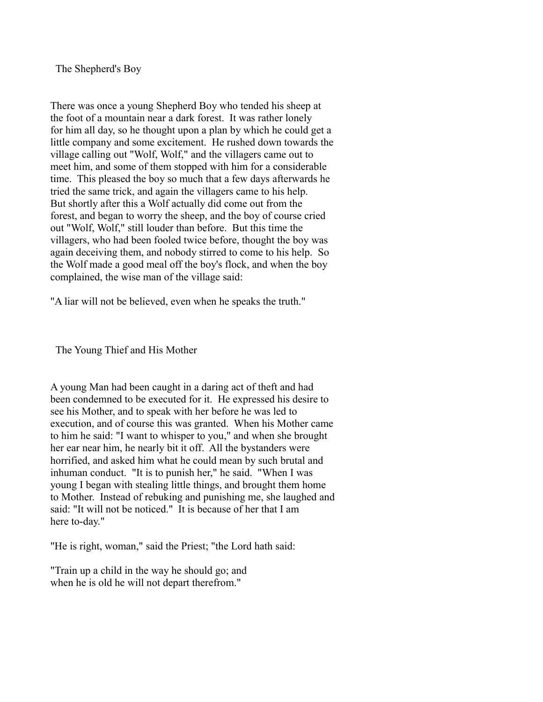The Shepherd's Boy

There was once a young Shepherd Boy who tended his sheep at the foot of a mountain near a dark forest. It was rather lonely for him all day, so he thought upon a plan by which he could get a little company and some excitement. He rushed down towards the village calling out "Wolf, Wolf," and the villagers came out to meet him, and some of them stopped with him for a considerable time. This pleased the boy so much that a few days afterwards he tried the same trick, and again the villagers came to his help. But shortly after this a Wolf actually did come out from the forest, and began to worry the sheep, and the boy of course cried out "Wolf, Wolf," still louder than before. But this time the villagers, who had been fooled twice before, thought the boy was again deceiving them, and nobody stirred to come to his help. So the Wolf made a good meal off the boy's flock, and when the boy complained, the wise man of the village said:

"A liar will not be believed, even when he speaks the truth."

The Young Thief and His Mother

A young Man had been caught in a daring act of theft and had been condemned to be executed for it. He expressed his desire to see his Mother, and to speak with her before he was led to execution, and of course this was granted. When his Mother came to him he said: "I want to whisper to you," and when she brought her ear near him, he nearly bit it off. All the bystanders were horrified, and asked him what he could mean by such brutal and inhuman conduct. "It is to punish her," he said. "When I was young I began with stealing little things, and brought them home to Mother. Instead of rebuking and punishing me, she laughed and said: "It will not be noticed." It is because of her that I am here to-day."

"He is right, woman," said the Priest; "the Lord hath said:

"Train up a child in the way he should go; and when he is old he will not depart therefrom."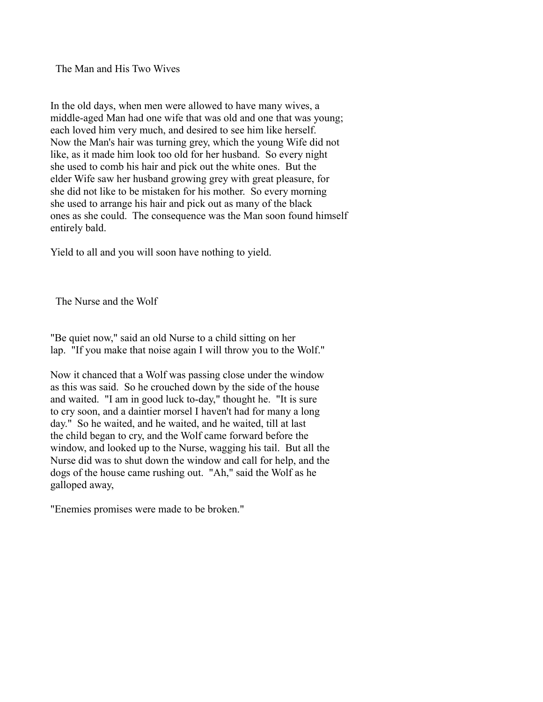The Man and His Two Wives

In the old days, when men were allowed to have many wives, a middle-aged Man had one wife that was old and one that was young; each loved him very much, and desired to see him like herself. Now the Man's hair was turning grey, which the young Wife did not like, as it made him look too old for her husband. So every night she used to comb his hair and pick out the white ones. But the elder Wife saw her husband growing grey with great pleasure, for she did not like to be mistaken for his mother. So every morning she used to arrange his hair and pick out as many of the black ones as she could. The consequence was the Man soon found himself entirely bald.

Yield to all and you will soon have nothing to yield.

The Nurse and the Wolf

"Be quiet now," said an old Nurse to a child sitting on her lap. "If you make that noise again I will throw you to the Wolf."

Now it chanced that a Wolf was passing close under the window as this was said. So he crouched down by the side of the house and waited. "I am in good luck to-day," thought he. "It is sure to cry soon, and a daintier morsel I haven't had for many a long day." So he waited, and he waited, and he waited, till at last the child began to cry, and the Wolf came forward before the window, and looked up to the Nurse, wagging his tail. But all the Nurse did was to shut down the window and call for help, and the dogs of the house came rushing out. "Ah," said the Wolf as he galloped away,

"Enemies promises were made to be broken."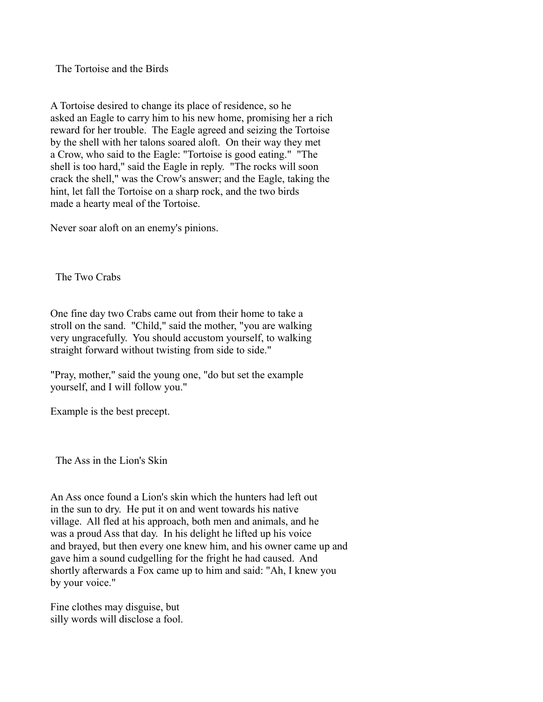The Tortoise and the Birds

A Tortoise desired to change its place of residence, so he asked an Eagle to carry him to his new home, promising her a rich reward for her trouble. The Eagle agreed and seizing the Tortoise by the shell with her talons soared aloft. On their way they met a Crow, who said to the Eagle: "Tortoise is good eating." "The shell is too hard," said the Eagle in reply. "The rocks will soon crack the shell," was the Crow's answer; and the Eagle, taking the hint, let fall the Tortoise on a sharp rock, and the two birds made a hearty meal of the Tortoise.

Never soar aloft on an enemy's pinions.

The Two Crabs

One fine day two Crabs came out from their home to take a stroll on the sand. "Child," said the mother, "you are walking very ungracefully. You should accustom yourself, to walking straight forward without twisting from side to side."

"Pray, mother," said the young one, "do but set the example yourself, and I will follow you."

Example is the best precept.

The Ass in the Lion's Skin

An Ass once found a Lion's skin which the hunters had left out in the sun to dry. He put it on and went towards his native village. All fled at his approach, both men and animals, and he was a proud Ass that day. In his delight he lifted up his voice and brayed, but then every one knew him, and his owner came up and gave him a sound cudgelling for the fright he had caused. And shortly afterwards a Fox came up to him and said: "Ah, I knew you by your voice."

Fine clothes may disguise, but silly words will disclose a fool.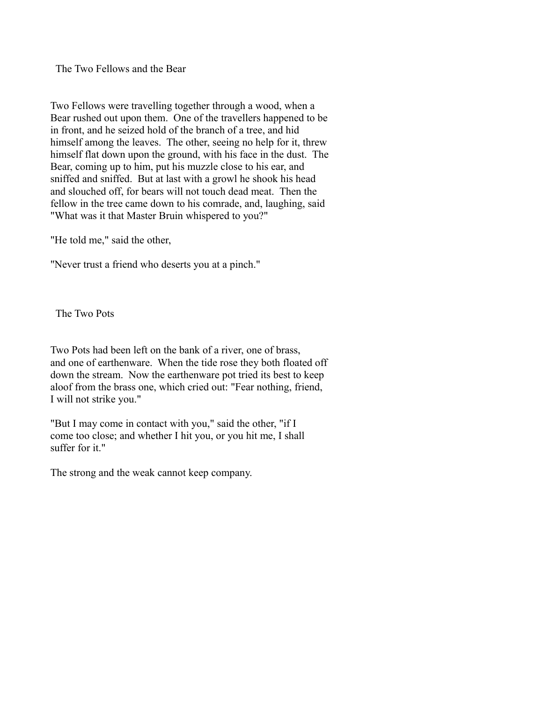The Two Fellows and the Bear

Two Fellows were travelling together through a wood, when a Bear rushed out upon them. One of the travellers happened to be in front, and he seized hold of the branch of a tree, and hid himself among the leaves. The other, seeing no help for it, threw himself flat down upon the ground, with his face in the dust. The Bear, coming up to him, put his muzzle close to his ear, and sniffed and sniffed. But at last with a growl he shook his head and slouched off, for bears will not touch dead meat. Then the fellow in the tree came down to his comrade, and, laughing, said "What was it that Master Bruin whispered to you?"

"He told me," said the other,

"Never trust a friend who deserts you at a pinch."

The Two Pots

Two Pots had been left on the bank of a river, one of brass, and one of earthenware. When the tide rose they both floated off down the stream. Now the earthenware pot tried its best to keep aloof from the brass one, which cried out: "Fear nothing, friend, I will not strike you."

"But I may come in contact with you," said the other, "if I come too close; and whether I hit you, or you hit me, I shall suffer for it."

The strong and the weak cannot keep company.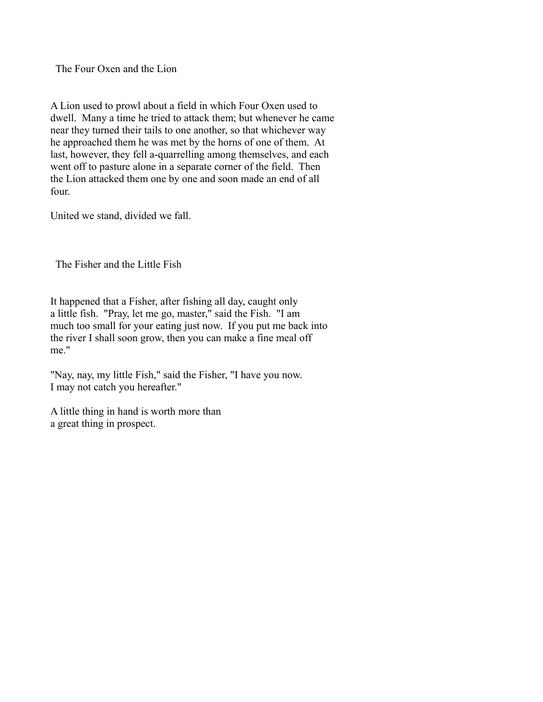The Four Oxen and the Lion

A Lion used to prowl about a field in which Four Oxen used to dwell. Many a time he tried to attack them; but whenever he came near they turned their tails to one another, so that whichever way he approached them he was met by the horns of one of them. At last, however, they fell a-quarrelling among themselves, and each went off to pasture alone in a separate corner of the field. Then the Lion attacked them one by one and soon made an end of all four.

United we stand, divided we fall.

The Fisher and the Little Fish

It happened that a Fisher, after fishing all day, caught only a little fish. "Pray, let me go, master," said the Fish. "I am much too small for your eating just now. If you put me back into the river I shall soon grow, then you can make a fine meal off me."

"Nay, nay, my little Fish," said the Fisher, "I have you now. I may not catch you hereafter."

A little thing in hand is worth more than a great thing in prospect.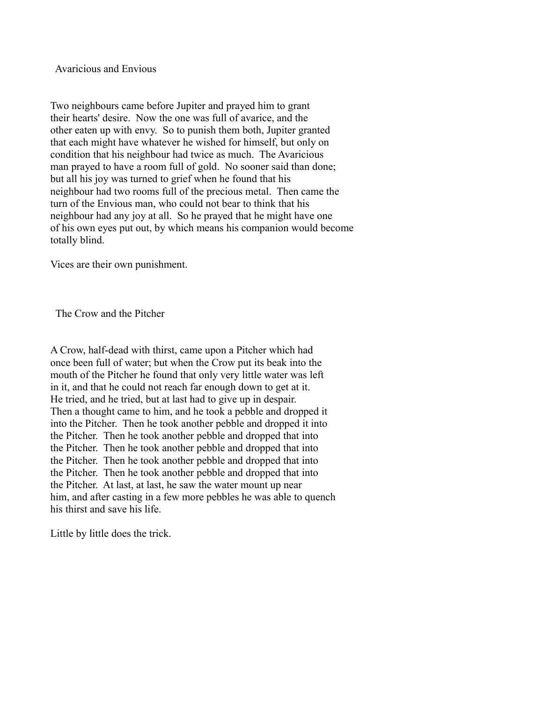Avaricious and Envious

Two neighbours came before Jupiter and prayed him to grant their hearts' desire. Now the one was full of avarice, and the other eaten up with envy. So to punish them both, Jupiter granted that each might have whatever he wished for himself, but only on condition that his neighbour had twice as much. The Avaricious man prayed to have a room full of gold. No sooner said than done; but all his joy was turned to grief when he found that his neighbour had two rooms full of the precious metal. Then came the turn of the Envious man, who could not bear to think that his neighbour had any joy at all. So he prayed that he might have one of his own eyes put out, by which means his companion would become totally blind.

Vices are their own punishment.

The Crow and the Pitcher

A Crow, half-dead with thirst, came upon a Pitcher which had once been full of water; but when the Crow put its beak into the mouth of the Pitcher he found that only very little water was left in it, and that he could not reach far enough down to get at it. He tried, and he tried, but at last had to give up in despair. Then a thought came to him, and he took a pebble and dropped it into the Pitcher. Then he took another pebble and dropped it into the Pitcher. Then he took another pebble and dropped that into the Pitcher. Then he took another pebble and dropped that into the Pitcher. Then he took another pebble and dropped that into the Pitcher. Then he took another pebble and dropped that into the Pitcher. At last, at last, he saw the water mount up near him, and after casting in a few more pebbles he was able to quench his thirst and save his life.

Little by little does the trick.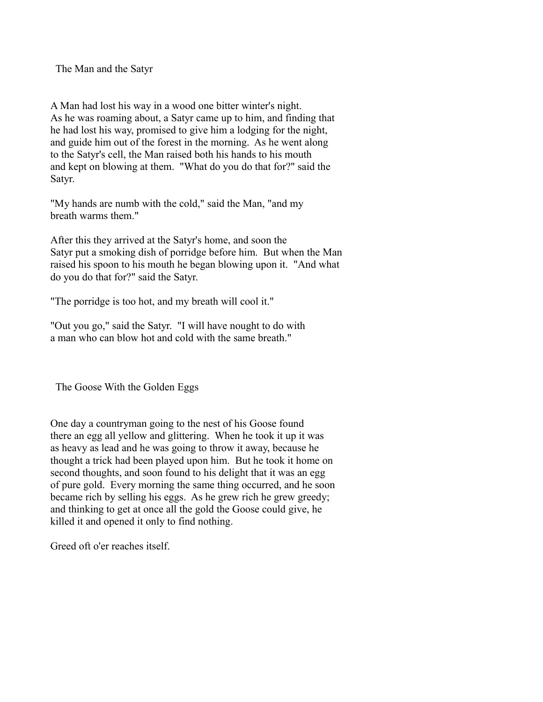The Man and the Satyr

A Man had lost his way in a wood one bitter winter's night. As he was roaming about, a Satyr came up to him, and finding that he had lost his way, promised to give him a lodging for the night, and guide him out of the forest in the morning. As he went along to the Satyr's cell, the Man raised both his hands to his mouth and kept on blowing at them. "What do you do that for?" said the Satyr.

"My hands are numb with the cold," said the Man, "and my breath warms them."

After this they arrived at the Satyr's home, and soon the Satyr put a smoking dish of porridge before him. But when the Man raised his spoon to his mouth he began blowing upon it. "And what do you do that for?" said the Satyr.

"The porridge is too hot, and my breath will cool it."

"Out you go," said the Satyr. "I will have nought to do with a man who can blow hot and cold with the same breath."

The Goose With the Golden Eggs

One day a countryman going to the nest of his Goose found there an egg all yellow and glittering. When he took it up it was as heavy as lead and he was going to throw it away, because he thought a trick had been played upon him. But he took it home on second thoughts, and soon found to his delight that it was an egg of pure gold. Every morning the same thing occurred, and he soon became rich by selling his eggs. As he grew rich he grew greedy; and thinking to get at once all the gold the Goose could give, he killed it and opened it only to find nothing.

Greed oft o'er reaches itself.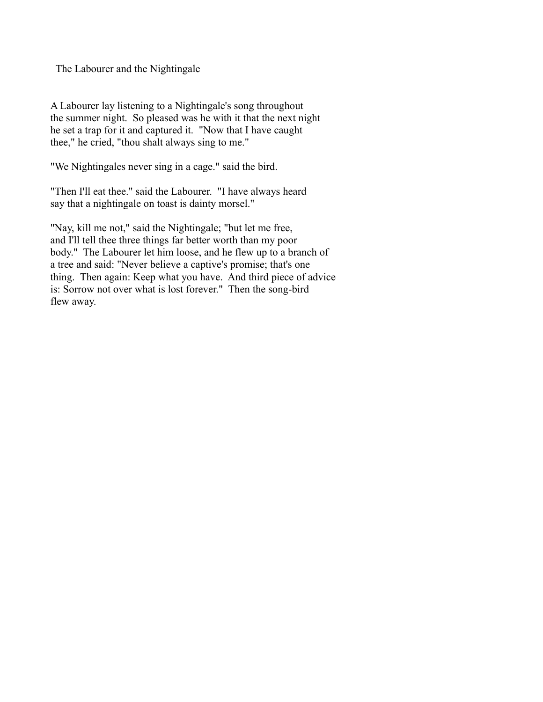The Labourer and the Nightingale

A Labourer lay listening to a Nightingale's song throughout the summer night. So pleased was he with it that the next night he set a trap for it and captured it. "Now that I have caught thee," he cried, "thou shalt always sing to me."

"We Nightingales never sing in a cage." said the bird.

"Then I'll eat thee." said the Labourer. "I have always heard say that a nightingale on toast is dainty morsel."

"Nay, kill me not," said the Nightingale; "but let me free, and I'll tell thee three things far better worth than my poor body." The Labourer let him loose, and he flew up to a branch of a tree and said: "Never believe a captive's promise; that's one thing. Then again: Keep what you have. And third piece of advice is: Sorrow not over what is lost forever." Then the song-bird flew away.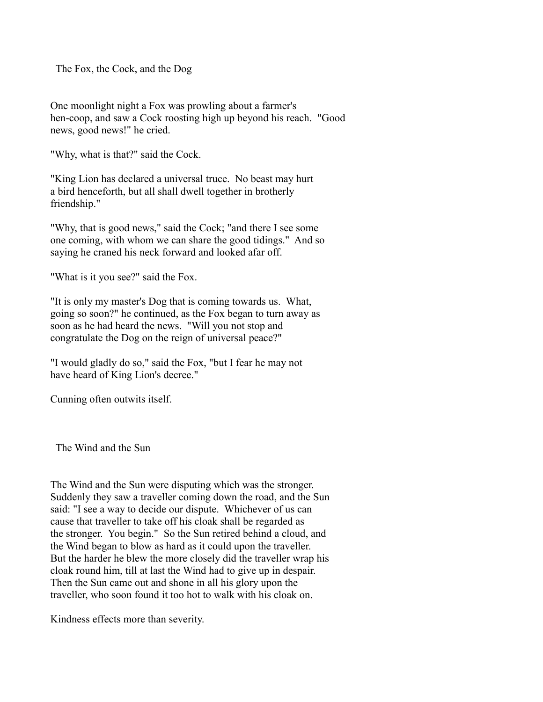The Fox, the Cock, and the Dog

One moonlight night a Fox was prowling about a farmer's hen-coop, and saw a Cock roosting high up beyond his reach. "Good news, good news!" he cried.

"Why, what is that?" said the Cock.

"King Lion has declared a universal truce. No beast may hurt a bird henceforth, but all shall dwell together in brotherly friendship."

"Why, that is good news," said the Cock; "and there I see some one coming, with whom we can share the good tidings." And so saying he craned his neck forward and looked afar off.

"What is it you see?" said the Fox.

"It is only my master's Dog that is coming towards us. What, going so soon?" he continued, as the Fox began to turn away as soon as he had heard the news. "Will you not stop and congratulate the Dog on the reign of universal peace?"

"I would gladly do so," said the Fox, "but I fear he may not have heard of King Lion's decree."

Cunning often outwits itself.

The Wind and the Sun

The Wind and the Sun were disputing which was the stronger. Suddenly they saw a traveller coming down the road, and the Sun said: "I see a way to decide our dispute. Whichever of us can cause that traveller to take off his cloak shall be regarded as the stronger. You begin." So the Sun retired behind a cloud, and the Wind began to blow as hard as it could upon the traveller. But the harder he blew the more closely did the traveller wrap his cloak round him, till at last the Wind had to give up in despair. Then the Sun came out and shone in all his glory upon the traveller, who soon found it too hot to walk with his cloak on.

Kindness effects more than severity.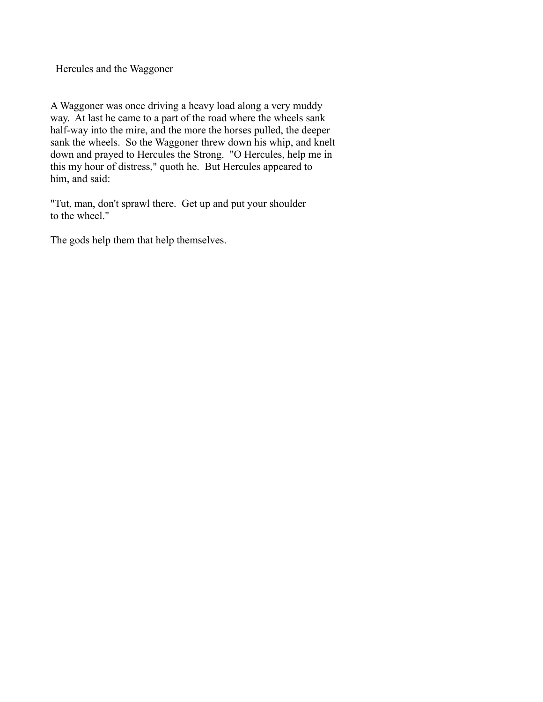Hercules and the Waggoner

A Waggoner was once driving a heavy load along a very muddy way. At last he came to a part of the road where the wheels sank half-way into the mire, and the more the horses pulled, the deeper sank the wheels. So the Waggoner threw down his whip, and knelt down and prayed to Hercules the Strong. "O Hercules, help me in this my hour of distress," quoth he. But Hercules appeared to him, and said:

"Tut, man, don't sprawl there. Get up and put your shoulder to the wheel."

The gods help them that help themselves.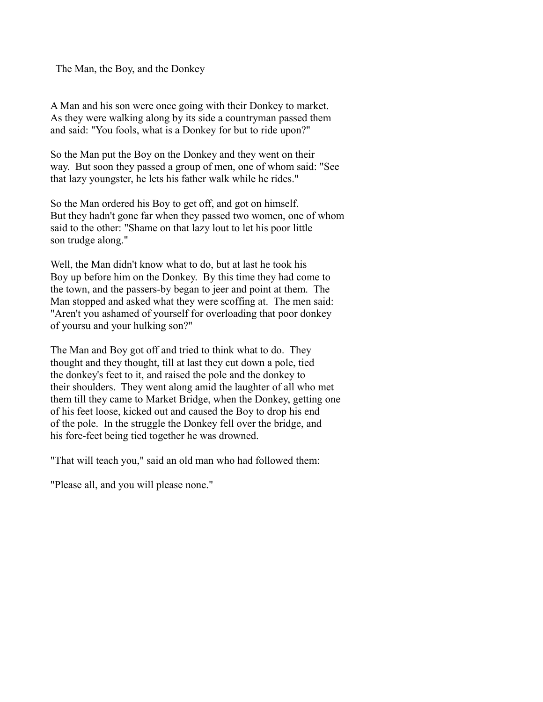The Man, the Boy, and the Donkey

A Man and his son were once going with their Donkey to market. As they were walking along by its side a countryman passed them and said: "You fools, what is a Donkey for but to ride upon?"

So the Man put the Boy on the Donkey and they went on their way. But soon they passed a group of men, one of whom said: "See that lazy youngster, he lets his father walk while he rides."

So the Man ordered his Boy to get off, and got on himself. But they hadn't gone far when they passed two women, one of whom said to the other: "Shame on that lazy lout to let his poor little son trudge along."

Well, the Man didn't know what to do, but at last he took his Boy up before him on the Donkey. By this time they had come to the town, and the passers-by began to jeer and point at them. The Man stopped and asked what they were scoffing at. The men said: "Aren't you ashamed of yourself for overloading that poor donkey" of yoursu and your hulking son?"

The Man and Boy got off and tried to think what to do. They thought and they thought, till at last they cut down a pole, tied the donkey's feet to it, and raised the pole and the donkey to their shoulders. They went along amid the laughter of all who met them till they came to Market Bridge, when the Donkey, getting one of his feet loose, kicked out and caused the Boy to drop his end of the pole. In the struggle the Donkey fell over the bridge, and his fore-feet being tied together he was drowned.

"That will teach you," said an old man who had followed them:

"Please all, and you will please none."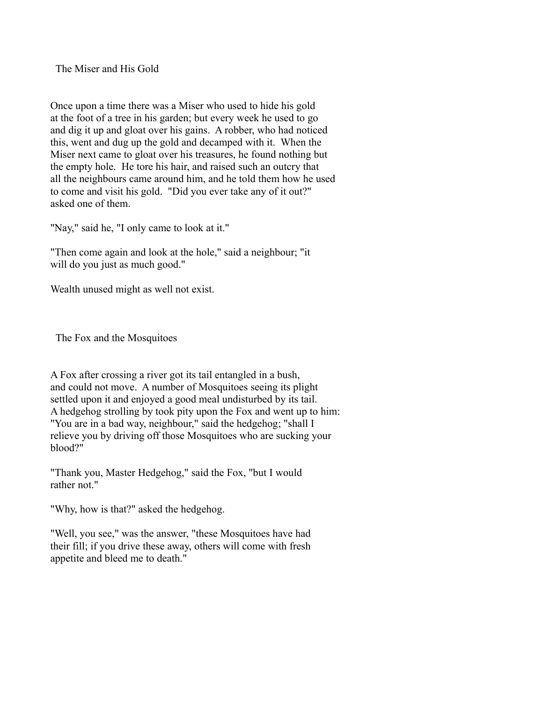The Miser and His Gold

Once upon a time there was a Miser who used to hide his gold at the foot of a tree in his garden; but every week he used to go and dig it up and gloat over his gains. A robber, who had noticed this, went and dug up the gold and decamped with it. When the Miser next came to gloat over his treasures, he found nothing but the empty hole. He tore his hair, and raised such an outcry that all the neighbours came around him, and he told them how he used to come and visit his gold. "Did you ever take any of it out?" asked one of them.

"Nay," said he, "I only came to look at it."

"Then come again and look at the hole," said a neighbour; "it will do you just as much good."

Wealth unused might as well not exist.

The Fox and the Mosquitoes

A Fox after crossing a river got its tail entangled in a bush, and could not move. A number of Mosquitoes seeing its plight settled upon it and enjoyed a good meal undisturbed by its tail. A hedgehog strolling by took pity upon the Fox and went up to him: "You are in a bad way, neighbour," said the hedgehog; "shall I relieve you by driving off those Mosquitoes who are sucking your blood?"

"Thank you, Master Hedgehog," said the Fox, "but I would rather not."

"Why, how is that?" asked the hedgehog.

"Well, you see," was the answer, "these Mosquitoes have had their fill; if you drive these away, others will come with fresh appetite and bleed me to death."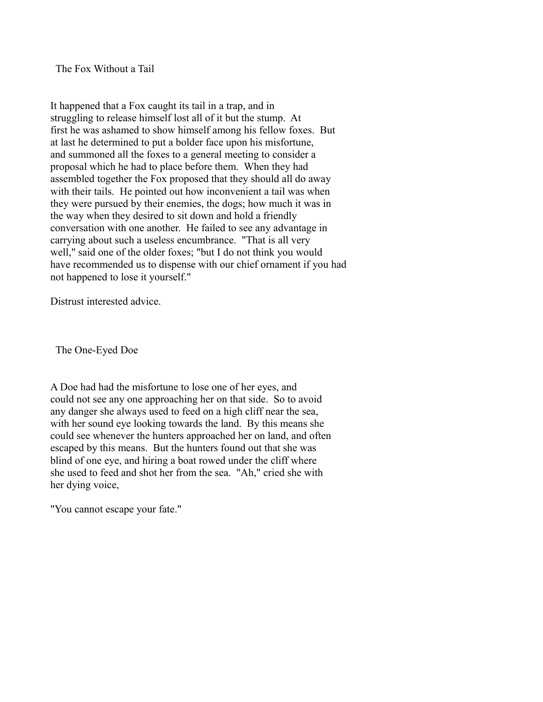The Fox Without a Tail

It happened that a Fox caught its tail in a trap, and in struggling to release himself lost all of it but the stump. At first he was ashamed to show himself among his fellow foxes. But at last he determined to put a bolder face upon his misfortune, and summoned all the foxes to a general meeting to consider a proposal which he had to place before them. When they had assembled together the Fox proposed that they should all do away with their tails. He pointed out how inconvenient a tail was when they were pursued by their enemies, the dogs; how much it was in the way when they desired to sit down and hold a friendly conversation with one another. He failed to see any advantage in carrying about such a useless encumbrance. "That is all very well," said one of the older foxes; "but I do not think you would have recommended us to dispense with our chief ornament if you had not happened to lose it yourself."

Distrust interested advice.

The One-Eyed Doe

A Doe had had the misfortune to lose one of her eyes, and could not see any one approaching her on that side. So to avoid any danger she always used to feed on a high cliff near the sea, with her sound eye looking towards the land. By this means she could see whenever the hunters approached her on land, and often escaped by this means. But the hunters found out that she was blind of one eye, and hiring a boat rowed under the cliff where she used to feed and shot her from the sea. "Ah," cried she with her dying voice,

"You cannot escape your fate."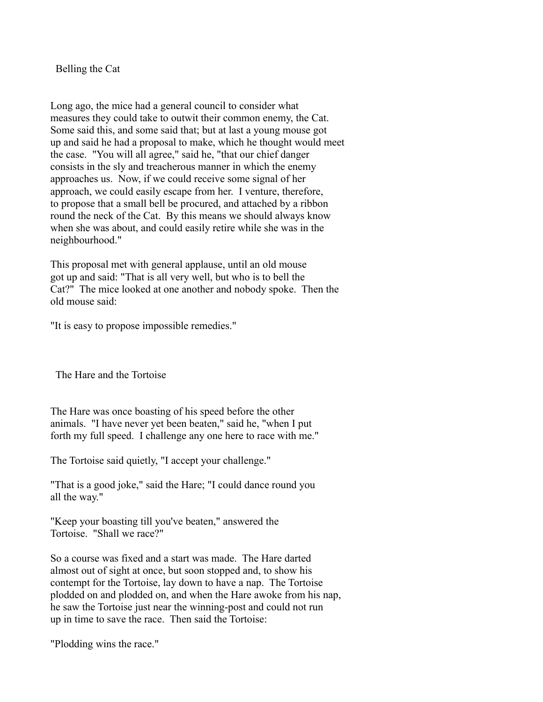Belling the Cat

Long ago, the mice had a general council to consider what measures they could take to outwit their common enemy, the Cat. Some said this, and some said that; but at last a young mouse got up and said he had a proposal to make, which he thought would meet the case. "You will all agree," said he, "that our chief danger consists in the sly and treacherous manner in which the enemy approaches us. Now, if we could receive some signal of her approach, we could easily escape from her. I venture, therefore, to propose that a small bell be procured, and attached by a ribbon round the neck of the Cat. By this means we should always know when she was about, and could easily retire while she was in the neighbourhood."

This proposal met with general applause, until an old mouse got up and said: "That is all very well, but who is to bell the Cat?" The mice looked at one another and nobody spoke. Then the old mouse said:

"It is easy to propose impossible remedies."

The Hare and the Tortoise

The Hare was once boasting of his speed before the other animals. "I have never yet been beaten," said he, "when I put forth my full speed. I challenge any one here to race with me."

The Tortoise said quietly, "I accept your challenge."

"That is a good joke," said the Hare; "I could dance round you all the way."

"Keep your boasting till you've beaten," answered the Tortoise. "Shall we race?"

So a course was fixed and a start was made. The Hare darted almost out of sight at once, but soon stopped and, to show his contempt for the Tortoise, lay down to have a nap. The Tortoise plodded on and plodded on, and when the Hare awoke from his nap, he saw the Tortoise just near the winning-post and could not run up in time to save the race. Then said the Tortoise:

"Plodding wins the race."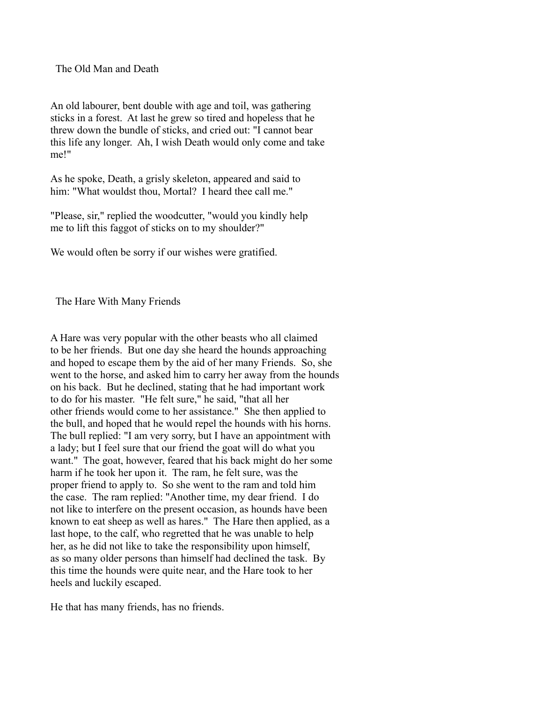## The Old Man and Death

An old labourer, bent double with age and toil, was gathering sticks in a forest. At last he grew so tired and hopeless that he threw down the bundle of sticks, and cried out: "I cannot bear this life any longer. Ah, I wish Death would only come and take me!"

As he spoke, Death, a grisly skeleton, appeared and said to him: "What wouldst thou, Mortal? I heard thee call me."

"Please, sir," replied the woodcutter, "would you kindly help me to lift this faggot of sticks on to my shoulder?"

We would often be sorry if our wishes were gratified.

The Hare With Many Friends

A Hare was very popular with the other beasts who all claimed to be her friends. But one day she heard the hounds approaching and hoped to escape them by the aid of her many Friends. So, she went to the horse, and asked him to carry her away from the hounds on his back. But he declined, stating that he had important work to do for his master. "He felt sure," he said, "that all her other friends would come to her assistance." She then applied to the bull, and hoped that he would repel the hounds with his horns. The bull replied: "I am very sorry, but I have an appointment with a lady; but I feel sure that our friend the goat will do what you want." The goat, however, feared that his back might do her some harm if he took her upon it. The ram, he felt sure, was the proper friend to apply to. So she went to the ram and told him the case. The ram replied: "Another time, my dear friend. I do not like to interfere on the present occasion, as hounds have been known to eat sheep as well as hares." The Hare then applied, as a last hope, to the calf, who regretted that he was unable to help her, as he did not like to take the responsibility upon himself, as so many older persons than himself had declined the task. By this time the hounds were quite near, and the Hare took to her heels and luckily escaped.

He that has many friends, has no friends.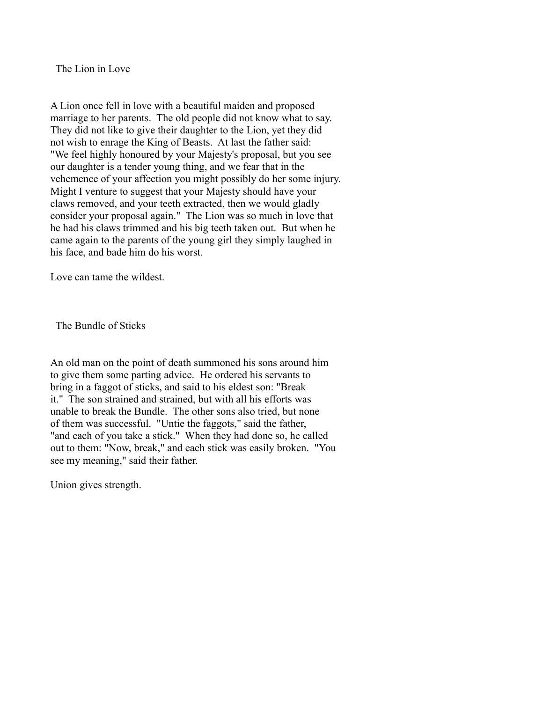The Lion in Love

A Lion once fell in love with a beautiful maiden and proposed marriage to her parents. The old people did not know what to say. They did not like to give their daughter to the Lion, yet they did not wish to enrage the King of Beasts. At last the father said: "We feel highly honoured by your Majesty's proposal, but you see our daughter is a tender young thing, and we fear that in the vehemence of your affection you might possibly do her some injury. Might I venture to suggest that your Majesty should have your claws removed, and your teeth extracted, then we would gladly consider your proposal again." The Lion was so much in love that he had his claws trimmed and his big teeth taken out. But when he came again to the parents of the young girl they simply laughed in his face, and bade him do his worst.

Love can tame the wildest.

The Bundle of Sticks

An old man on the point of death summoned his sons around him to give them some parting advice. He ordered his servants to bring in a faggot of sticks, and said to his eldest son: "Break it." The son strained and strained, but with all his efforts was unable to break the Bundle. The other sons also tried, but none of them was successful. "Untie the faggots," said the father, "and each of you take a stick." When they had done so, he called out to them: "Now, break," and each stick was easily broken. "You see my meaning," said their father.

Union gives strength.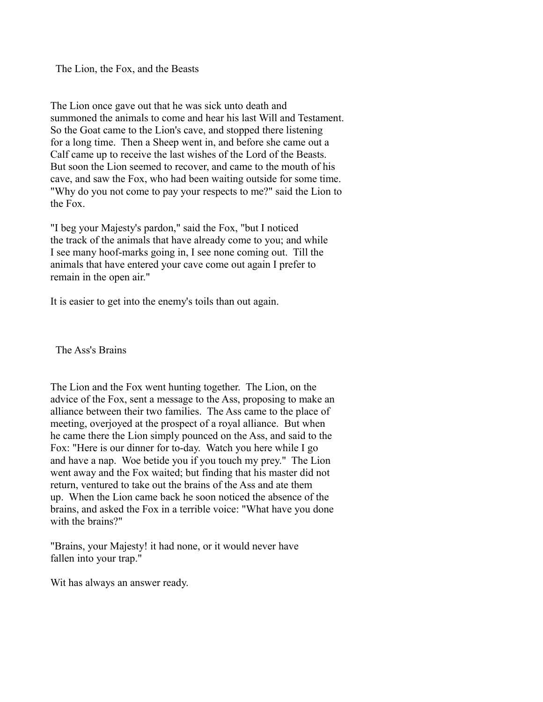The Lion, the Fox, and the Beasts

The Lion once gave out that he was sick unto death and summoned the animals to come and hear his last Will and Testament. So the Goat came to the Lion's cave, and stopped there listening for a long time. Then a Sheep went in, and before she came out a Calf came up to receive the last wishes of the Lord of the Beasts. But soon the Lion seemed to recover, and came to the mouth of his cave, and saw the Fox, who had been waiting outside for some time. "Why do you not come to pay your respects to me?" said the Lion to the Fox.

"I beg your Majesty's pardon," said the Fox, "but I noticed the track of the animals that have already come to you; and while I see many hoof-marks going in, I see none coming out. Till the animals that have entered your cave come out again I prefer to remain in the open air."

It is easier to get into the enemy's toils than out again.

The Ass's Brains

The Lion and the Fox went hunting together. The Lion, on the advice of the Fox, sent a message to the Ass, proposing to make an alliance between their two families. The Ass came to the place of meeting, overjoyed at the prospect of a royal alliance. But when he came there the Lion simply pounced on the Ass, and said to the Fox: "Here is our dinner for to-day. Watch you here while I go and have a nap. Woe betide you if you touch my prey." The Lion went away and the Fox waited; but finding that his master did not return, ventured to take out the brains of the Ass and ate them up. When the Lion came back he soon noticed the absence of the brains, and asked the Fox in a terrible voice: "What have you done with the brains?"

"Brains, your Majesty! it had none, or it would never have fallen into your trap."

Wit has always an answer ready.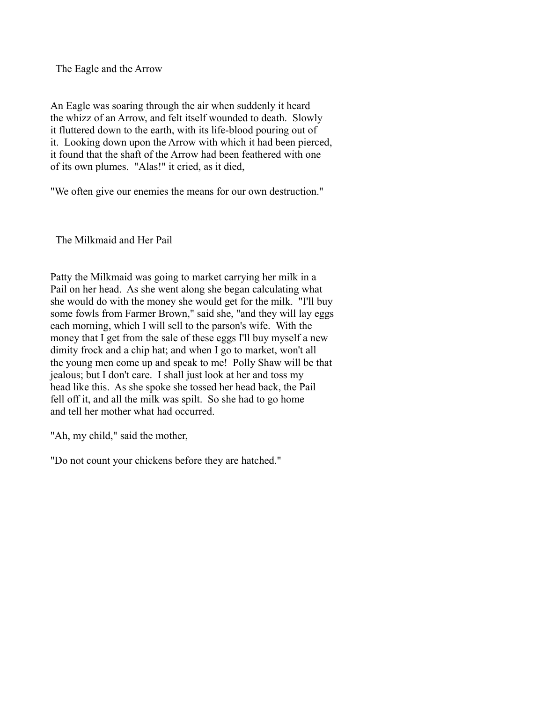The Eagle and the Arrow

An Eagle was soaring through the air when suddenly it heard the whizz of an Arrow, and felt itself wounded to death. Slowly it fluttered down to the earth, with its life-blood pouring out of it. Looking down upon the Arrow with which it had been pierced, it found that the shaft of the Arrow had been feathered with one of its own plumes. "Alas!" it cried, as it died,

"We often give our enemies the means for our own destruction."

The Milkmaid and Her Pail

Patty the Milkmaid was going to market carrying her milk in a Pail on her head. As she went along she began calculating what she would do with the money she would get for the milk. "I'll buy some fowls from Farmer Brown," said she, "and they will lay eggs each morning, which I will sell to the parson's wife. With the money that I get from the sale of these eggs I'll buy myself a new dimity frock and a chip hat; and when I go to market, won't all the young men come up and speak to me! Polly Shaw will be that jealous; but I don't care. I shall just look at her and toss my head like this. As she spoke she tossed her head back, the Pail fell off it, and all the milk was spilt. So she had to go home and tell her mother what had occurred.

"Ah, my child," said the mother,

"Do not count your chickens before they are hatched."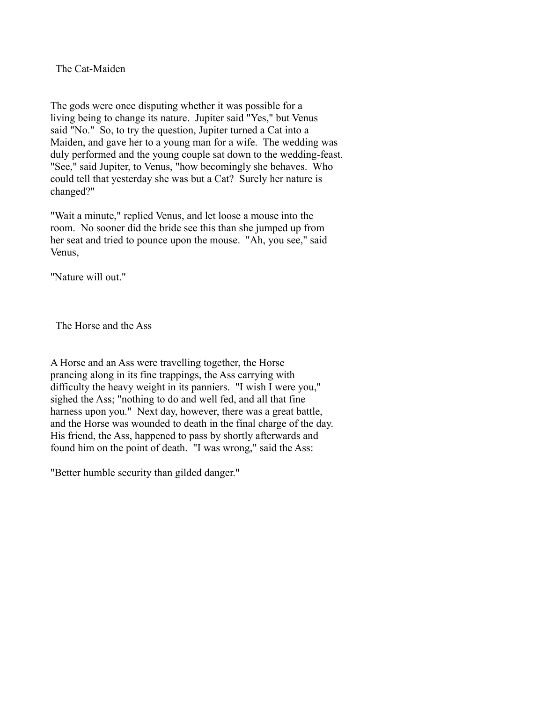The Cat-Maiden

The gods were once disputing whether it was possible for a living being to change its nature. Jupiter said "Yes," but Venus said "No." So, to try the question, Jupiter turned a Cat into a Maiden, and gave her to a young man for a wife. The wedding was duly performed and the young couple sat down to the wedding-feast. "See," said Jupiter, to Venus, "how becomingly she behaves. Who could tell that yesterday she was but a Cat? Surely her nature is changed?"

"Wait a minute," replied Venus, and let loose a mouse into the room. No sooner did the bride see this than she jumped up from her seat and tried to pounce upon the mouse. "Ah, you see," said Venus,

"Nature will out."

The Horse and the Ass

A Horse and an Ass were travelling together, the Horse prancing along in its fine trappings, the Ass carrying with difficulty the heavy weight in its panniers. "I wish I were you," sighed the Ass; "nothing to do and well fed, and all that fine harness upon you." Next day, however, there was a great battle, and the Horse was wounded to death in the final charge of the day. His friend, the Ass, happened to pass by shortly afterwards and found him on the point of death. "I was wrong," said the Ass:

"Better humble security than gilded danger."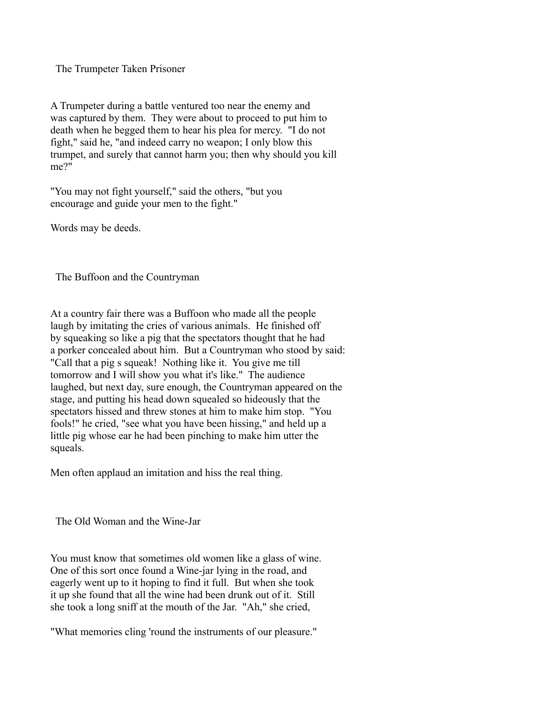The Trumpeter Taken Prisoner

A Trumpeter during a battle ventured too near the enemy and was captured by them. They were about to proceed to put him to death when he begged them to hear his plea for mercy. "I do not fight," said he, "and indeed carry no weapon; I only blow this trumpet, and surely that cannot harm you; then why should you kill me?"

"You may not fight yourself," said the others, "but you encourage and guide your men to the fight."

Words may be deeds.

The Buffoon and the Countryman

At a country fair there was a Buffoon who made all the people laugh by imitating the cries of various animals. He finished off by squeaking so like a pig that the spectators thought that he had a porker concealed about him. But a Countryman who stood by said: "Call that a pig s squeak! Nothing like it. You give me till tomorrow and I will show you what it's like." The audience laughed, but next day, sure enough, the Countryman appeared on the stage, and putting his head down squealed so hideously that the spectators hissed and threw stones at him to make him stop. "You fools!" he cried, "see what you have been hissing," and held up a little pig whose ear he had been pinching to make him utter the squeals.

Men often applaud an imitation and hiss the real thing.

The Old Woman and the Wine-Jar

You must know that sometimes old women like a glass of wine. One of this sort once found a Wine-jar lying in the road, and eagerly went up to it hoping to find it full. But when she took it up she found that all the wine had been drunk out of it. Still she took a long sniff at the mouth of the Jar. "Ah," she cried,

"What memories cling 'round the instruments of our pleasure."